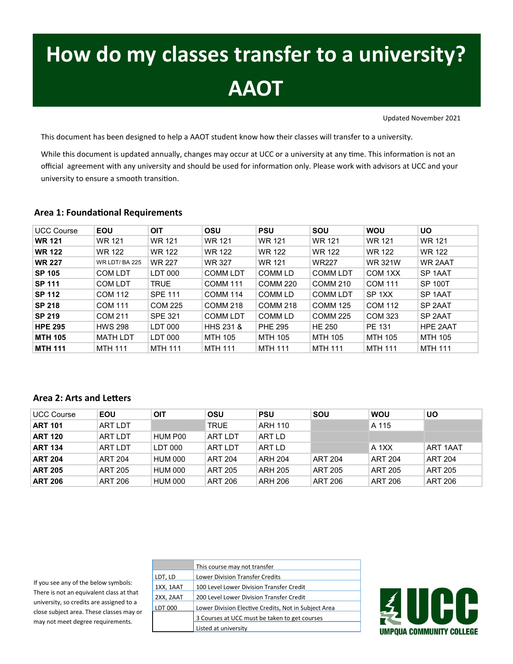# **How do my classes transfer to a university? AAOT**

Updated November 2021

This document has been designed to help a AAOT student know how their classes will transfer to a university.

While this document is updated annually, changes may occur at UCC or a university at any time. This information is not an official agreement with any university and should be used for information only. Please work with advisors at UCC and your university to ensure a smooth transition.

#### **Area 1: Foundational Requirements**

| <b>UCC Course</b> | <b>EOU</b>            | <b>OIT</b>     | OSU                  | <b>PSU</b>      | SOU             | <b>WOU</b>        | <b>UO</b>           |
|-------------------|-----------------------|----------------|----------------------|-----------------|-----------------|-------------------|---------------------|
| <b>WR 121</b>     | <b>WR 121</b>         | <b>WR 121</b>  | <b>WR 121</b>        | <b>WR 121</b>   | <b>WR 121</b>   | <b>WR 121</b>     | <b>WR 121</b>       |
| <b>WR 122</b>     | WR 122                | WR 122         | <b>WR 122</b>        | WR 122          | WR 122          | WR 122            | <b>WR 122</b>       |
| <b>WR 227</b>     | <b>WR LDT/ BA 225</b> | <b>WR 227</b>  | <b>WR 327</b>        | <b>WR 121</b>   | <b>WR227</b>    | <b>WR 321W</b>    | WR 2AAT             |
| <b>SP 105</b>     | <b>COM LDT</b>        | LDT 000        | <b>COMM LDT</b>      | <b>COMM LD</b>  | <b>COMM LDT</b> | COM 1XX           | SP <sub>1</sub> AAT |
| <b>SP 111</b>     | <b>COM LDT</b>        | <b>TRUE</b>    | <b>COMM 111</b>      | <b>COMM 220</b> | <b>COMM 210</b> | <b>COM 111</b>    | <b>SP 100T</b>      |
| <b>SP 112</b>     | <b>COM 112</b>        | <b>SPE 111</b> | <b>COMM 114</b>      | <b>COMM LD</b>  | <b>COMM LDT</b> | SP <sub>1XX</sub> | SP <sub>1</sub> AAT |
| <b>SP 218</b>     | <b>COM 111</b>        | COM 225        | <b>COMM 218</b>      | <b>COMM 218</b> | <b>COMM 125</b> | COM 112           | SP 2AAT             |
| <b>SP 219</b>     | <b>COM 211</b>        | <b>SPE 321</b> | <b>COMM LDT</b>      | <b>COMM LD</b>  | <b>COMM 225</b> | COM 323           | SP 2AAT             |
| <b>HPE 295</b>    | <b>HWS 298</b>        | LDT 000        | <b>HHS 231 &amp;</b> | <b>PHE 295</b>  | <b>HE 250</b>   | PE 131            | HPE 2AAT            |
| <b>MTH 105</b>    | <b>MATH LDT</b>       | LDT 000        | <b>MTH 105</b>       | <b>MTH 105</b>  | <b>MTH 105</b>  | <b>MTH 105</b>    | <b>MTH 105</b>      |
| <b>MTH 111</b>    | <b>MTH 111</b>        | <b>MTH 111</b> | <b>MTH 111</b>       | <b>MTH 111</b>  | <b>MTH 111</b>  | <b>MTH 111</b>    | <b>MTH 111</b>      |

#### **Area 2: Arts and Letters**

| <b>UCC Course</b> | EOU            | OIT            | OSU            | <b>PSU</b>     | SOU            | <b>WOU</b>     | UO             |
|-------------------|----------------|----------------|----------------|----------------|----------------|----------------|----------------|
| <b>ART 101</b>    | <b>ART LDT</b> |                | <b>TRUE</b>    | ARH 110        |                | A 115          |                |
| <b>ART 120</b>    | <b>ART LDT</b> | HUM P00        | <b>ART LDT</b> | ART LD         |                |                |                |
| <b>ART 134</b>    | <b>ART LDT</b> | LDT 000        | <b>ART LDT</b> | ART LD         |                | A 1XX          | ART 1AAT       |
| <b>ART 204</b>    | <b>ART 204</b> | <b>HUM 000</b> | <b>ART 204</b> | <b>ARH 204</b> | <b>ART 204</b> | <b>ART 204</b> | ART 204        |
| <b>ART 205</b>    | <b>ART 205</b> | <b>HUM 000</b> | <b>ART 205</b> | <b>ARH 205</b> | ART 205        | <b>ART 205</b> | <b>ART 205</b> |
| <b>ART 206</b>    | <b>ART 206</b> | <b>HUM 000</b> | ART 206        | <b>ARH 206</b> | <b>ART 206</b> | <b>ART 206</b> | ART 206        |

If you see any of the below symbols: There is not an equivalent class at that university, so credits are assigned to a close subject area. These classes may or may not meet degree requirements.

| This course may not transfer                         |
|------------------------------------------------------|
| <b>Lower Division Transfer Credits</b>               |
| 100 Level Lower Division Transfer Credit             |
| 200 Level Lower Division Transfer Credit             |
| Lower Division Elective Credits, Not in Subject Area |
| 3 Courses at UCC must be taken to get courses        |
| Listed at university                                 |
|                                                      |

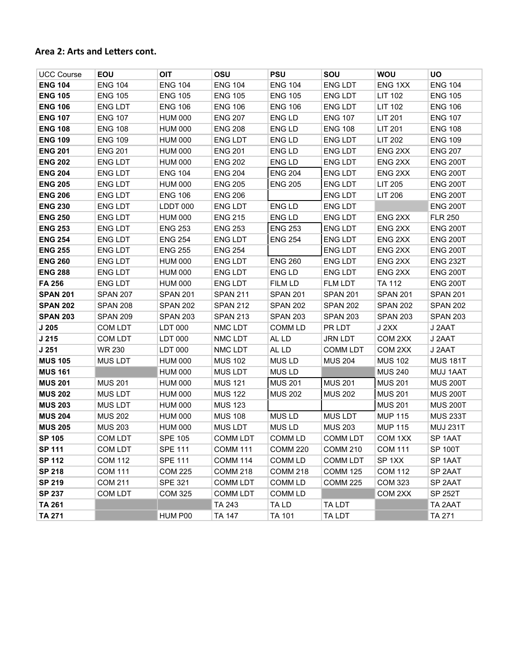#### **Area 2: Arts and Letters cont.**

| <b>UCC Course</b> | EOU             | <b>OIT</b>      | OSU             | <b>PSU</b>         | SOU             | <b>WOU</b>          | <b>UO</b>          |
|-------------------|-----------------|-----------------|-----------------|--------------------|-----------------|---------------------|--------------------|
| <b>ENG 104</b>    | <b>ENG 104</b>  | <b>ENG 104</b>  | <b>ENG 104</b>  | <b>ENG 104</b>     | <b>ENG LDT</b>  | ENG 1XX             | <b>ENG 104</b>     |
| <b>ENG 105</b>    | <b>ENG 105</b>  | <b>ENG 105</b>  | <b>ENG 105</b>  | <b>ENG 105</b>     | <b>ENG LDT</b>  | <b>LIT 102</b>      | <b>ENG 105</b>     |
| <b>ENG 106</b>    | <b>ENG LDT</b>  | <b>ENG 106</b>  | <b>ENG 106</b>  | <b>ENG 106</b>     | <b>ENG LDT</b>  | LIT 102             | <b>ENG 106</b>     |
| <b>ENG 107</b>    | <b>ENG 107</b>  | <b>HUM 000</b>  | <b>ENG 207</b>  | ENG LD             | <b>ENG 107</b>  | LIT 201             | <b>ENG 107</b>     |
| <b>ENG 108</b>    | <b>ENG 108</b>  | <b>HUM 000</b>  | <b>ENG 208</b>  | <b>ENG LD</b>      | <b>ENG 108</b>  | LIT 201             | <b>ENG 108</b>     |
| <b>ENG 109</b>    | <b>ENG 109</b>  | <b>HUM 000</b>  | ENG LDT         | ENG LD             | <b>ENG LDT</b>  | LIT 202             | <b>ENG 109</b>     |
| <b>ENG 201</b>    | <b>ENG 201</b>  | <b>HUM 000</b>  | <b>ENG 201</b>  | ENG LD             | <b>ENG LDT</b>  | ENG <sub>2XX</sub>  | <b>ENG 207</b>     |
| <b>ENG 202</b>    | <b>ENG LDT</b>  | <b>HUM 000</b>  | <b>ENG 202</b>  | ENG LD             | <b>ENG LDT</b>  | ENG <sub>2XX</sub>  | <b>ENG 200T</b>    |
| <b>ENG 204</b>    | <b>ENG LDT</b>  | <b>ENG 104</b>  | <b>ENG 204</b>  | <b>ENG 204</b>     | <b>ENG LDT</b>  | ENG 2XX             | <b>ENG 200T</b>    |
| <b>ENG 205</b>    | <b>ENG LDT</b>  | <b>HUM 000</b>  | <b>ENG 205</b>  | <b>ENG 205</b>     | <b>ENG LDT</b>  | LIT 205             | <b>ENG 200T</b>    |
| <b>ENG 206</b>    | <b>ENG LDT</b>  | <b>ENG 106</b>  | <b>ENG 206</b>  |                    | <b>ENG LDT</b>  | LIT 206             | <b>ENG 200T</b>    |
| <b>ENG 230</b>    | <b>ENG LDT</b>  | LDDT 000        | <b>ENG LDT</b>  | ENG LD             | <b>ENG LDT</b>  |                     | <b>ENG 200T</b>    |
| <b>ENG 250</b>    | <b>ENG LDT</b>  | <b>HUM 000</b>  | <b>ENG 215</b>  | ENG LD             | <b>ENG LDT</b>  | ENG <sub>2XX</sub>  | <b>FLR 250</b>     |
| <b>ENG 253</b>    | <b>ENG LDT</b>  | <b>ENG 253</b>  | <b>ENG 253</b>  | <b>ENG 253</b>     | <b>ENG LDT</b>  | ENG <sub>2XX</sub>  | <b>ENG 200T</b>    |
| <b>ENG 254</b>    | <b>ENG LDT</b>  | <b>ENG 254</b>  | <b>ENG LDT</b>  | <b>ENG 254</b>     | <b>ENG LDT</b>  | ENG <sub>2XX</sub>  | <b>ENG 200T</b>    |
| <b>ENG 255</b>    | <b>ENG LDT</b>  | <b>ENG 255</b>  | <b>ENG 254</b>  |                    | <b>ENG LDT</b>  | ENG <sub>2XX</sub>  | <b>ENG 200T</b>    |
| <b>ENG 260</b>    | <b>ENG LDT</b>  | <b>HUM 000</b>  | ENG LDT         | <b>ENG 260</b>     | <b>ENG LDT</b>  | ENG <sub>2XX</sub>  | <b>ENG 232T</b>    |
| <b>ENG 288</b>    | <b>ENG LDT</b>  | <b>HUM 000</b>  | <b>ENG LDT</b>  | ENG LD             | <b>ENG LDT</b>  | ENG <sub>2XX</sub>  | <b>ENG 200T</b>    |
| FA 256            | <b>ENG LDT</b>  | <b>HUM 000</b>  | <b>ENG LDT</b>  | <b>FILM LD</b>     | <b>FLM LDT</b>  | <b>TA 112</b>       | <b>ENG 200T</b>    |
| <b>SPAN 201</b>   | <b>SPAN 207</b> | <b>SPAN 201</b> | <b>SPAN 211</b> | <b>SPAN 201</b>    | <b>SPAN 201</b> | <b>SPAN 201</b>     | <b>SPAN 201</b>    |
| <b>SPAN 202</b>   | <b>SPAN 208</b> | <b>SPAN 202</b> | <b>SPAN 212</b> | <b>SPAN 202</b>    | <b>SPAN 202</b> | <b>SPAN 202</b>     | <b>SPAN 202</b>    |
| <b>SPAN 203</b>   | <b>SPAN 209</b> | <b>SPAN 203</b> | <b>SPAN 213</b> | <b>SPAN 203</b>    | <b>SPAN 203</b> | <b>SPAN 203</b>     | <b>SPAN 203</b>    |
| J 205             | COM LDT         | LDT 000         | NMC LDT         | <b>COMM LD</b>     | PR LDT          | J2XX                | J 2AAT             |
| J 215             | COM LDT         | LDT 000         | NMC LDT         | AL LD              | <b>JRN LDT</b>  | COM <sub>2</sub> XX | J 2AAT             |
| J 251             | WR 230          | LDT 000         | NMC LDT         | AL LD              | <b>COMM LDT</b> | COM <sub>2XX</sub>  | J 2AAT             |
| <b>MUS 105</b>    | <b>MUS LDT</b>  | <b>HUM 000</b>  | <b>MUS 102</b>  | <b>MUSLD</b>       | <b>MUS 204</b>  | <b>MUS 102</b>      | <b>MUS 181T</b>    |
| <b>MUS 161</b>    |                 | <b>HUM 000</b>  | <b>MUS LDT</b>  | <b>MUSLD</b>       |                 | <b>MUS 240</b>      | MUJ 1AAT           |
| <b>MUS 201</b>    | <b>MUS 201</b>  | <b>HUM 000</b>  | <b>MUS 121</b>  | <b>MUS 201</b>     | <b>MUS 201</b>  | <b>MUS 201</b>      | <b>MUS 200T</b>    |
| <b>MUS 202</b>    | <b>MUS LDT</b>  | <b>HUM 000</b>  | <b>MUS 122</b>  | <b>MUS 202</b>     | <b>MUS 202</b>  | <b>MUS 201</b>      | <b>MUS 200T</b>    |
| <b>MUS 203</b>    | <b>MUS LDT</b>  | <b>HUM 000</b>  | <b>MUS 123</b>  |                    |                 | <b>MUS 201</b>      | <b>MUS 200T</b>    |
| <b>MUS 204</b>    | <b>MUS 202</b>  | <b>HUM 000</b>  | <b>MUS 108</b>  | <b>MUSLD</b>       | <b>MUS LDT</b>  | <b>MUP 115</b>      | <b>MUS 233T</b>    |
| <b>MUS 205</b>    | <b>MUS 203</b>  | <b>HUM 000</b>  | <b>MUS LDT</b>  | <b>MUSLD</b>       | <b>MUS 203</b>  | <b>MUP 115</b>      | <b>MUJ 231T</b>    |
| <b>SP 105</b>     | <b>COM LDT</b>  | <b>SPE 105</b>  | <b>COMM LDT</b> | <b>COMM LD</b>     | <b>COMM LDT</b> | COM <sub>1XX</sub>  | SP <sub>1AAT</sub> |
| <b>SP 111</b>     | <b>COM LDT</b>  | <b>SPE 111</b>  | <b>COMM 111</b> | <b>COMM 220</b>    | <b>COMM 210</b> | <b>COM 111</b>      | <b>SP 100T</b>     |
| <b>SP 112</b>     | <b>COM 112</b>  | <b>SPE 111</b>  | <b>COMM 114</b> | COMM <sub>LD</sub> | <b>COMM LDT</b> | SP <sub>1XX</sub>   | SP <sub>1AAT</sub> |
| <b>SP 218</b>     | <b>COM 111</b>  | <b>COM 225</b>  | <b>COMM 218</b> | <b>COMM 218</b>    | <b>COMM 125</b> | <b>COM 112</b>      | SP <sub>2AAT</sub> |
| <b>SP 219</b>     | <b>COM 211</b>  | <b>SPE 321</b>  | <b>COMM LDT</b> | <b>COMM LD</b>     | <b>COMM 225</b> | <b>COM 323</b>      | SP <sub>2AAT</sub> |
| <b>SP 237</b>     | COM LDT         | <b>COM 325</b>  | <b>COMM LDT</b> | <b>COMM LD</b>     |                 | COM <sub>2XX</sub>  | <b>SP 252T</b>     |
| <b>TA 261</b>     |                 |                 | TA 243          | TA LD              | TA LDT          |                     | TA 2AAT            |
| <b>TA 271</b>     |                 | HUM P00         | <b>TA 147</b>   | <b>TA 101</b>      | TA LDT          |                     | <b>TA 271</b>      |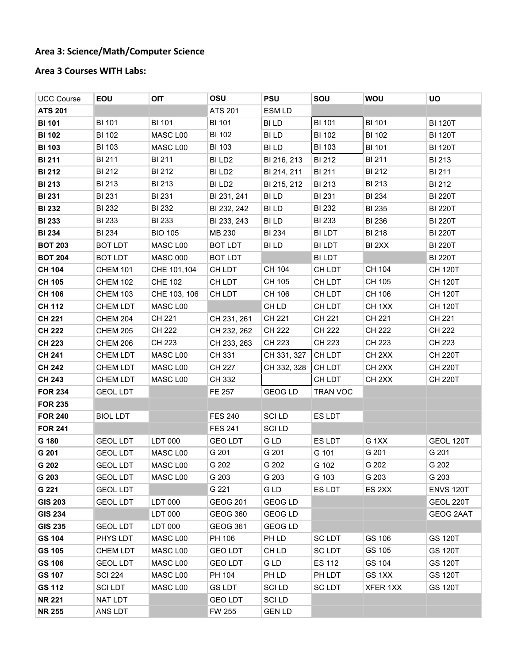### **Area 3: Science/Math/Computer Science**

# **Area 3 Courses WITH Labs:**

| <b>UCC Course</b> | EOU             | OIT             | OSU                | <b>PSU</b>     | SOU           | <b>WOU</b>         | UO               |
|-------------------|-----------------|-----------------|--------------------|----------------|---------------|--------------------|------------------|
| <b>ATS 201</b>    |                 |                 | <b>ATS 201</b>     | ESM LD         |               |                    |                  |
| <b>BI 101</b>     | <b>BI 101</b>   | <b>BI 101</b>   | <b>BI 101</b>      | <b>BILD</b>    | <b>BI 101</b> | <b>BI 101</b>      | <b>BI 120T</b>   |
| <b>BI 102</b>     | <b>BI 102</b>   | MASC L00        | <b>BI 102</b>      | <b>BILD</b>    | <b>BI 102</b> | <b>BI 102</b>      | <b>BI 120T</b>   |
| <b>BI 103</b>     | <b>BI 103</b>   | MASC L00        | <b>BI 103</b>      | BI LD          | <b>BI 103</b> | <b>BI 101</b>      | <b>BI 120T</b>   |
| <b>BI 211</b>     | BI 211          | <b>BI 211</b>   | BI LD <sub>2</sub> | BI 216, 213    | <b>BI212</b>  | <b>BI 211</b>      | <b>BI 213</b>    |
| <b>BI 212</b>     | <b>BI 212</b>   | <b>BI 212</b>   | BI LD <sub>2</sub> | BI 214, 211    | <b>BI211</b>  | BI 212             | BI 211           |
| <b>BI 213</b>     | <b>BI 213</b>   | <b>BI 213</b>   | BI LD <sub>2</sub> | BI 215, 212    | <b>BI213</b>  | <b>BI213</b>       | <b>BI212</b>     |
| <b>BI 231</b>     | <b>BI 231</b>   | <b>BI 231</b>   | BI 231, 241        | <b>BILD</b>    | <b>BI 231</b> | <b>BI 234</b>      | <b>BI 220T</b>   |
| <b>BI 232</b>     | <b>BI 232</b>   | <b>BI 232</b>   | BI 232, 242        | <b>BILD</b>    | <b>BI 232</b> | <b>BI 235</b>      | <b>BI 220T</b>   |
| <b>BI 233</b>     | <b>BI 233</b>   | <b>BI 233</b>   | BI 233, 243        | <b>BILD</b>    | <b>BI 233</b> | <b>BI 236</b>      | <b>BI 220T</b>   |
| <b>BI 234</b>     | <b>BI 234</b>   | <b>BIO 105</b>  | MB 230             | <b>BI 234</b>  | <b>BILDT</b>  | <b>BI 218</b>      | <b>BI 220T</b>   |
| <b>BOT 203</b>    | <b>BOT LDT</b>  | MASC L00        | <b>BOT LDT</b>     | BI LD          | BI LDT        | BI 2XX             | <b>BI 220T</b>   |
| <b>BOT 204</b>    | <b>BOT LDT</b>  | <b>MASC 000</b> | <b>BOT LDT</b>     |                | <b>BILDT</b>  |                    | <b>BI 220T</b>   |
| <b>CH 104</b>     | <b>CHEM 101</b> | CHE 101,104     | CH LDT             | CH 104         | CH LDT        | CH 104             | <b>CH 120T</b>   |
| <b>CH 105</b>     | <b>CHEM 102</b> | <b>CHE 102</b>  | CH LDT             | CH 105         | CH LDT        | CH 105             | <b>CH 120T</b>   |
| <b>CH 106</b>     | <b>CHEM 103</b> | CHE 103, 106    | CH LDT             | CH 106         | CH LDT        | CH 106             | <b>CH 120T</b>   |
| <b>CH 112</b>     | <b>CHEM LDT</b> | MASC L00        |                    | CH LD          | CH LDT        | CH <sub>1</sub> XX | <b>CH 120T</b>   |
| <b>CH 221</b>     | <b>CHEM 204</b> | CH 221          | CH 231, 261        | CH 221         | CH 221        | CH 221             | CH 221           |
| <b>CH 222</b>     | <b>CHEM 205</b> | CH 222          | CH 232, 262        | CH 222         | CH 222        | CH 222             | CH 222           |
| <b>CH 223</b>     | CHEM 206        | CH 223          | CH 233, 263        | CH 223         | CH 223        | CH 223             | CH 223           |
| <b>CH 241</b>     | <b>CHEM LDT</b> | MASC L00        | CH 331             | CH 331, 327    | CH LDT        | CH <sub>2</sub> XX | <b>CH 220T</b>   |
| <b>CH 242</b>     | CHEM LDT        | MASC L00        | CH 227             | CH 332, 328    | CH LDT        | CH <sub>2</sub> XX | <b>CH 220T</b>   |
| <b>CH 243</b>     | CHEM LDT        | MASC L00        | CH 332             |                | CH LDT        | CH <sub>2</sub> XX | <b>CH 220T</b>   |
| <b>FOR 234</b>    | <b>GEOL LDT</b> |                 | FE 257             | <b>GEOG LD</b> | TRAN VOC      |                    |                  |
| <b>FOR 235</b>    |                 |                 |                    |                |               |                    |                  |
| <b>FOR 240</b>    | <b>BIOL LDT</b> |                 | <b>FES 240</b>     | <b>SCILD</b>   | ES LDT        |                    |                  |
| <b>FOR 241</b>    |                 |                 | <b>FES 241</b>     | <b>SCILD</b>   |               |                    |                  |
| G 180             | <b>GEOL LDT</b> | LDT 000         | <b>GEO LDT</b>     | G LD           | ES LDT        | G <sub>1XX</sub>   | GEOL 120T        |
| G 201             | <b>GEOL LDT</b> | MASC L00        | G 201              | G 201          | G 101         | G 201              | G 201            |
| G 202             | <b>GEOL LDT</b> | MASC L00        | G 202              | G 202          | G 102         | G 202              | G 202            |
| G 203             | <b>GEOL LDT</b> | MASC L00        | G 203              | G 203          | G 103         | G 203              | G 203            |
| G 221             | <b>GEOL LDT</b> |                 | G 221              | G LD           | ES LDT        | ES <sub>2</sub> XX | <b>ENVS 120T</b> |
| <b>GIS 203</b>    | <b>GEOL LDT</b> | LDT 000         | <b>GEOG 201</b>    | <b>GEOG LD</b> |               |                    | GEOL 220T        |
| <b>GIS 234</b>    |                 | LDT 000         | <b>GEOG 360</b>    | <b>GEOG LD</b> |               |                    | <b>GEOG 2AAT</b> |
| <b>GIS 235</b>    | <b>GEOL LDT</b> | LDT 000         | GEOG 361           | GEOG LD        |               |                    |                  |
| <b>GS 104</b>     | PHYS LDT        | MASC L00        | PH 106             | PH LD          | <b>SCLDT</b>  | GS 106             | <b>GS 120T</b>   |
| <b>GS 105</b>     | CHEM LDT        | MASC L00        | <b>GEO LDT</b>     | CH LD          | <b>SCLDT</b>  | GS 105             | <b>GS 120T</b>   |
| <b>GS 106</b>     | <b>GEOL LDT</b> | MASC L00        | <b>GEO LDT</b>     | G LD           | <b>ES 112</b> | GS 104             | <b>GS 120T</b>   |
| <b>GS 107</b>     | <b>SCI 224</b>  | MASC L00        | PH 104             | PH LD          | PH LDT        | GS 1XX             | <b>GS 120T</b>   |
| <b>GS 112</b>     | <b>SCILDT</b>   | MASC L00        | <b>GS LDT</b>      | <b>SCILD</b>   | <b>SCLDT</b>  | XFER 1XX           | <b>GS 120T</b>   |
| <b>NR 221</b>     | NAT LDT         |                 | <b>GEO LDT</b>     | <b>SCILD</b>   |               |                    |                  |
| <b>NR 255</b>     | ANS LDT         |                 | FW 255             | <b>GEN LD</b>  |               |                    |                  |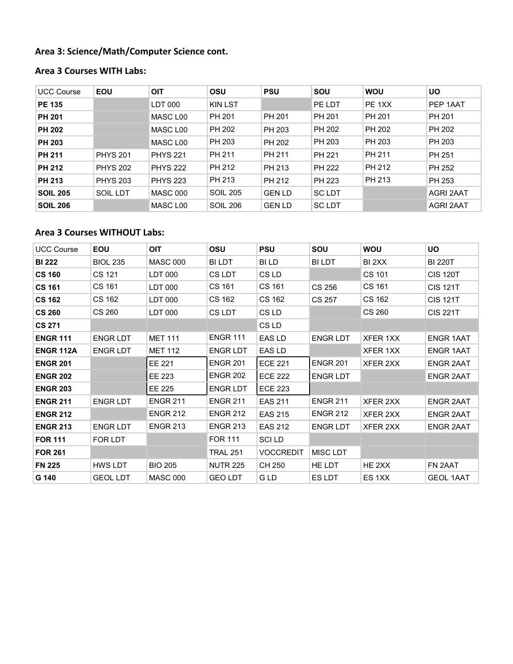### **Area 3: Science/Math/Computer Science cont.**

# **Area 3 Courses WITH Labs:**

| <b>UCC Course</b> | <b>EOU</b>      | OIT             | <b>OSU</b>      | <b>PSU</b>    | SOU          | <b>WOU</b> | <b>UO</b> |
|-------------------|-----------------|-----------------|-----------------|---------------|--------------|------------|-----------|
| <b>PE 135</b>     |                 | LDT 000         | KIN LST         |               | PE LDT       | PE 1XX     | PEP 1AAT  |
| <b>PH 201</b>     |                 | MASC L00        | PH 201          | PH 201        | PH 201       | PH 201     | PH 201    |
| <b>PH 202</b>     |                 | MASC L00        | PH 202          | PH 203        | PH 202       | PH 202     | PH 202    |
| <b>PH 203</b>     |                 | MASC L00        | PH 203          | PH 202        | PH 203       | PH 203     | PH 203    |
| <b>PH 211</b>     | <b>PHYS 201</b> | <b>PHYS 221</b> | PH 211          | PH 211        | PH 221       | PH 211     | PH 251    |
| <b>PH 212</b>     | <b>PHYS 202</b> | <b>PHYS 222</b> | PH 212          | PH 213        | PH 222       | PH 212     | PH 252    |
| <b>PH 213</b>     | <b>PHYS 203</b> | <b>PHYS 223</b> | PH 213          | PH 212        | PH 223       | PH 213     | PH 253    |
| <b>SOIL 205</b>   | SOIL LDT        | <b>MASC 000</b> | <b>SOIL 205</b> | <b>GEN LD</b> | <b>SCLDT</b> |            | AGRI 2AAT |
| <b>SOIL 206</b>   |                 | MASC L00        | <b>SOIL 206</b> | <b>GEN LD</b> | <b>SCLDT</b> |            | AGRI 2AAT |

## **Area 3 Courses WITHOUT Labs:**

| <b>UCC Course</b> | <b>EOU</b>      | <b>OIT</b>      | <b>OSU</b>      | <b>PSU</b>       | SOU             | <b>WOU</b> | <b>UO</b>        |
|-------------------|-----------------|-----------------|-----------------|------------------|-----------------|------------|------------------|
| <b>BI 222</b>     | <b>BIOL 235</b> | <b>MASC 000</b> | <b>BILDT</b>    | BI LD            | BI LDT          | BI 2XX     | <b>BI 220T</b>   |
| <b>CS 160</b>     | CS 121          | LDT 000         | CS LDT          | CS LD            |                 | CS 101     | <b>CIS 120T</b>  |
| <b>CS 161</b>     | CS 161          | LDT 000         | CS 161          | CS 161           | CS 256          | CS 161     | <b>CIS 121T</b>  |
| <b>CS 162</b>     | CS 162          | LDT 000         | CS 162          | CS 162           | CS 257          | CS 162     | <b>CIS 121T</b>  |
| <b>CS 260</b>     | CS 260          | LDT 000         | CS LDT          | CS LD            |                 | CS 260     | <b>CIS 221T</b>  |
| <b>CS 271</b>     |                 |                 |                 | CS LD            |                 |            |                  |
| <b>ENGR 111</b>   | <b>ENGR LDT</b> | <b>MET 111</b>  | <b>ENGR 111</b> | EAS LD           | ENGR LDT        | XFER 1XX   | <b>ENGR 1AAT</b> |
| <b>ENGR 112A</b>  | <b>ENGR LDT</b> | <b>MET 112</b>  | <b>ENGR LDT</b> | EAS LD           |                 | XFER 1XX   | <b>ENGR 1AAT</b> |
| <b>ENGR 201</b>   |                 | EE 221          | <b>ENGR 201</b> | <b>ECE 221</b>   | <b>ENGR 201</b> | XFER 2XX   | <b>ENGR 2AAT</b> |
| <b>ENGR 202</b>   |                 | EE 223          | <b>ENGR 202</b> | <b>ECE 222</b>   | <b>ENGR LDT</b> |            | <b>ENGR 2AAT</b> |
| <b>ENGR 203</b>   |                 | EE 225          | <b>ENGR LDT</b> | <b>ECE 223</b>   |                 |            |                  |
| <b>ENGR 211</b>   | <b>ENGR LDT</b> | <b>ENGR 211</b> | <b>ENGR 211</b> | <b>EAS 211</b>   | <b>ENGR 211</b> | XFER 2XX   | <b>ENGR 2AAT</b> |
| <b>ENGR 212</b>   |                 | <b>ENGR 212</b> | <b>ENGR 212</b> | <b>EAS 215</b>   | <b>ENGR 212</b> | XFER 2XX   | <b>ENGR 2AAT</b> |
| <b>ENGR 213</b>   | <b>ENGR LDT</b> | <b>ENGR 213</b> | <b>ENGR 213</b> | <b>EAS 212</b>   | <b>ENGR LDT</b> | XFER 2XX   | <b>ENGR 2AAT</b> |
| <b>FOR 111</b>    | FOR LDT         |                 | <b>FOR 111</b>  | <b>SCILD</b>     |                 |            |                  |
| <b>FOR 261</b>    |                 |                 | <b>TRAL 251</b> | <b>VOCCREDIT</b> | <b>MISC LDT</b> |            |                  |
| <b>FN 225</b>     | HWS LDT         | <b>BIO 205</b>  | <b>NUTR 225</b> | CH 250           | HE LDT          | HE 2XX     | FN 2AAT          |
| G 140             | <b>GEOL LDT</b> | <b>MASC 000</b> | <b>GEO LDT</b>  | G LD             | <b>ES LDT</b>   | ES 1XX     | <b>GEOL 1AAT</b> |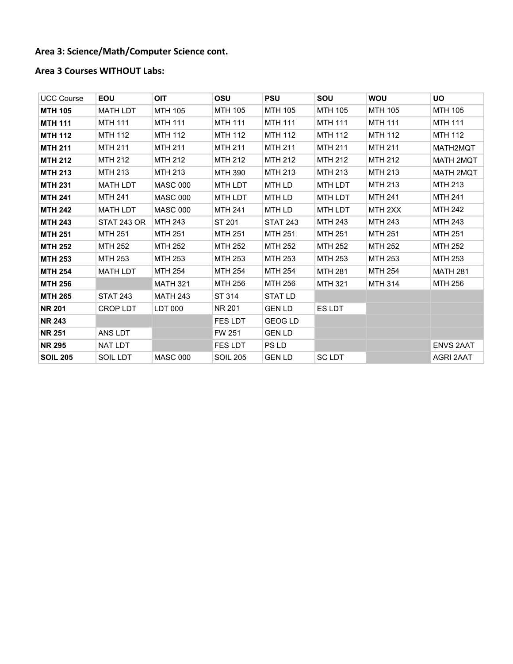### **Area 3: Science/Math/Computer Science cont.**

### **Area 3 Courses WITHOUT Labs:**

| <b>UCC Course</b> | <b>EOU</b>         | <b>OIT</b>      | <b>OSU</b>      | <b>PSU</b>      | SOU            | <b>WOU</b>     | <b>UO</b>        |
|-------------------|--------------------|-----------------|-----------------|-----------------|----------------|----------------|------------------|
| <b>MTH 105</b>    | <b>MATH LDT</b>    | <b>MTH 105</b>  | <b>MTH 105</b>  | <b>MTH 105</b>  | MTH 105        | MTH 105        | <b>MTH 105</b>   |
| <b>MTH 111</b>    | <b>MTH 111</b>     | <b>MTH 111</b>  | <b>MTH 111</b>  | <b>MTH 111</b>  | <b>MTH 111</b> | <b>MTH 111</b> | <b>MTH 111</b>   |
| <b>MTH 112</b>    | <b>MTH 112</b>     | <b>MTH 112</b>  | <b>MTH 112</b>  | <b>MTH 112</b>  | <b>MTH 112</b> | <b>MTH 112</b> | <b>MTH 112</b>   |
| <b>MTH 211</b>    | <b>MTH 211</b>     | <b>MTH 211</b>  | <b>MTH 211</b>  | <b>MTH 211</b>  | <b>MTH 211</b> | <b>MTH 211</b> | MATH2MQT         |
| <b>MTH 212</b>    | <b>MTH 212</b>     | <b>MTH 212</b>  | <b>MTH 212</b>  | <b>MTH 212</b>  | MTH 212        | MTH 212        | MATH 2MQT        |
| <b>MTH 213</b>    | <b>MTH 213</b>     | <b>MTH 213</b>  | <b>MTH 390</b>  | <b>MTH 213</b>  | <b>MTH 213</b> | <b>MTH 213</b> | MATH 2MQT        |
| <b>MTH 231</b>    | <b>MATH LDT</b>    | <b>MASC 000</b> | <b>MTH LDT</b>  | MTH LD          | <b>MTH LDT</b> | MTH 213        | <b>MTH 213</b>   |
| <b>MTH 241</b>    | <b>MTH 241</b>     | <b>MASC 000</b> | <b>MTH LDT</b>  | MTH LD          | <b>MTH LDT</b> | <b>MTH 241</b> | <b>MTH 241</b>   |
| <b>MTH 242</b>    | <b>MATH LDT</b>    | <b>MASC 000</b> | <b>MTH 241</b>  | MTH LD          | MTH LDT        | MTH 2XX        | <b>MTH 242</b>   |
| <b>MTH 243</b>    | <b>STAT 243 OR</b> | <b>MTH 243</b>  | ST 201          | <b>STAT 243</b> | <b>MTH 243</b> | MTH 243        | MTH 243          |
| <b>MTH 251</b>    | <b>MTH 251</b>     | <b>MTH 251</b>  | <b>MTH 251</b>  | <b>MTH 251</b>  | <b>MTH 251</b> | <b>MTH 251</b> | <b>MTH 251</b>   |
| <b>MTH 252</b>    | <b>MTH 252</b>     | <b>MTH 252</b>  | <b>MTH 252</b>  | <b>MTH 252</b>  | MTH 252        | MTH 252        | <b>MTH 252</b>   |
| <b>MTH 253</b>    | MTH 253            | MTH 253         | <b>MTH 253</b>  | <b>MTH 253</b>  | MTH 253        | MTH 253        | <b>MTH 253</b>   |
| <b>MTH 254</b>    | <b>MATH LDT</b>    | <b>MTH 254</b>  | <b>MTH 254</b>  | <b>MTH 254</b>  | <b>MTH 281</b> | <b>MTH 254</b> | <b>MATH 281</b>  |
| <b>MTH 256</b>    |                    | <b>MATH 321</b> | MTH 256         | MTH 256         | <b>MTH 321</b> | <b>MTH 314</b> | <b>MTH 256</b>   |
| <b>MTH 265</b>    | <b>STAT 243</b>    | <b>MATH 243</b> | ST 314          | <b>STAT LD</b>  |                |                |                  |
| <b>NR 201</b>     | CROP LDT           | LDT 000         | NR 201          | <b>GEN LD</b>   | ES LDT         |                |                  |
| <b>NR 243</b>     |                    |                 | <b>FES LDT</b>  | <b>GEOG LD</b>  |                |                |                  |
| <b>NR 251</b>     | ANS LDT            |                 | FW 251          | <b>GEN LD</b>   |                |                |                  |
| <b>NR 295</b>     | NAT LDT            |                 | <b>FES LDT</b>  | PS LD           |                |                | <b>ENVS 2AAT</b> |
| <b>SOIL 205</b>   | SOIL LDT           | <b>MASC 000</b> | <b>SOIL 205</b> | <b>GEN LD</b>   | <b>SC LDT</b>  |                | AGRI 2AAT        |